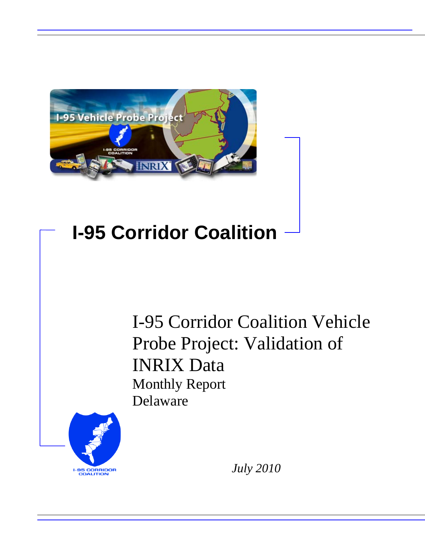

# **I-95 Corridor Coalition**

I-95 Corridor Coalition Vehicle Probe Project: Validation of INRIX Data Monthly Report Delaware



*July 2010*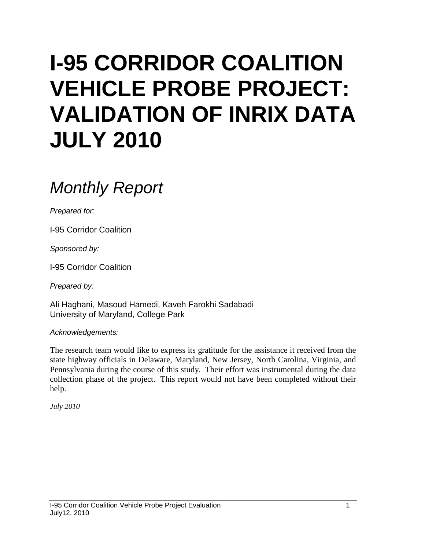# **I-95 CORRIDOR COALITION VEHICLE PROBE PROJECT: VALIDATION OF INRIX DATA JULY 2010**

# *Monthly Report*

*Prepared for:*

I-95 Corridor Coalition

*Sponsored by:*

I-95 Corridor Coalition

*Prepared by:*

Ali Haghani, Masoud Hamedi, Kaveh Farokhi Sadabadi University of Maryland, College Park

*Acknowledgements:*

The research team would like to express its gratitude for the assistance it received from the state highway officials in Delaware, Maryland, New Jersey, North Carolina, Virginia, and Pennsylvania during the course of this study. Their effort was instrumental during the data collection phase of the project. This report would not have been completed without their help.

*July 2010*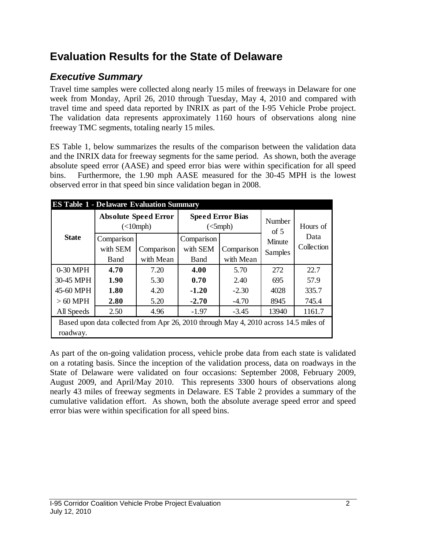# **Evaluation Results for the State of Delaware**

## *Executive Summary*

Travel time samples were collected along nearly 15 miles of freeways in Delaware for one week from Monday, April 26, 2010 through Tuesday, May 4, 2010 and compared with travel time and speed data reported by INRIX as part of the I-95 Vehicle Probe project. The validation data represents approximately 1160 hours of observations along nine freeway TMC segments, totaling nearly 15 miles.

ES Table 1, below summarizes the results of the comparison between the validation data and the INRIX data for freeway segments for the same period. As shown, both the average absolute speed error (AASE) and speed error bias were within specification for all speed bins. Furthermore, the 1.90 mph AASE measured for the 30-45 MPH is the lowest observed error in that speed bin since validation began in 2008.

|              | <b>ES Table 1 - Delaware Evaluation Summary</b>                                      |                                          |            |                                                        |                |            |  |  |  |  |
|--------------|--------------------------------------------------------------------------------------|------------------------------------------|------------|--------------------------------------------------------|----------------|------------|--|--|--|--|
|              |                                                                                      | <b>Absolute Speed Error</b><br>(<10 mph) |            | <b>Speed Error Bias</b><br>$\left(\text{<5mph}\right)$ | Number<br>of 5 | Hours of   |  |  |  |  |
| <b>State</b> | Comparison                                                                           |                                          | Comparison |                                                        | Minute         | Data       |  |  |  |  |
|              | with SEM                                                                             | Comparison                               | with SEM   | Comparison                                             | Samples        | Collection |  |  |  |  |
|              | with Mean<br><b>Band</b><br><b>Band</b>                                              |                                          | with Mean  |                                                        |                |            |  |  |  |  |
| 0-30 MPH     | 4.70                                                                                 | 7.20                                     | 4.00       | 5.70                                                   | 272            | 22.7       |  |  |  |  |
| 30-45 MPH    | 1.90                                                                                 | 5.30                                     | 0.70       | 2.40                                                   | 695            | 57.9       |  |  |  |  |
| 45-60 MPH    | 1.80                                                                                 | 4.20                                     | $-1.20$    | $-2.30$                                                | 4028           | 335.7      |  |  |  |  |
| $>60$ MPH    | 2.80                                                                                 | 5.20                                     | $-2.70$    | $-4.70$                                                | 8945           | 745.4      |  |  |  |  |
| All Speeds   | 2.50                                                                                 | 4.96                                     | $-1.97$    | $-3.45$                                                | 13940          | 1161.7     |  |  |  |  |
|              | Based upon data collected from Apr 26, 2010 through May 4, 2010 across 14.5 miles of |                                          |            |                                                        |                |            |  |  |  |  |
| roadway.     |                                                                                      |                                          |            |                                                        |                |            |  |  |  |  |

As part of the on-going validation process, vehicle probe data from each state is validated on a rotating basis. Since the inception of the validation process, data on roadways in the State of Delaware were validated on four occasions: September 2008, February 2009, August 2009, and April/May 2010. This represents 3300 hours of observations along nearly 43 miles of freeway segments in Delaware. ES Table 2 provides a summary of the cumulative validation effort. As shown, both the absolute average speed error and speed error bias were within specification for all speed bins.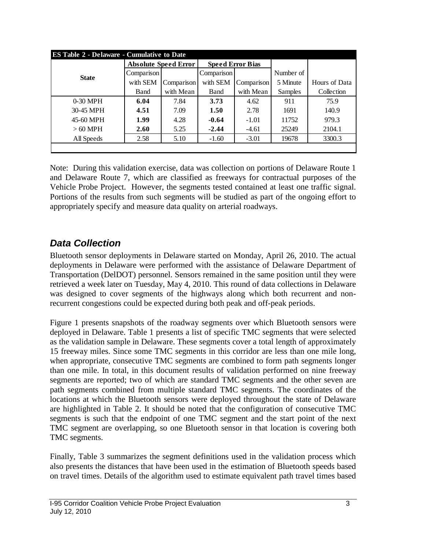| <b>ES Table 2 - Delaware - Cumulative to Date</b> |             |                             |            |                         |           |               |  |  |  |
|---------------------------------------------------|-------------|-----------------------------|------------|-------------------------|-----------|---------------|--|--|--|
|                                                   |             | <b>Absolute Speed Error</b> |            | <b>Speed Error Bias</b> |           |               |  |  |  |
| <b>State</b>                                      | Comparison  |                             | Comparison |                         | Number of |               |  |  |  |
|                                                   | with SEM    | Comparison                  | with SEM   | Comparison              | 5 Minute  | Hours of Data |  |  |  |
|                                                   | <b>Band</b> | with Mean                   | Band       | with Mean               | Samples   | Collection    |  |  |  |
| $0-30$ MPH                                        | 6.04        | 7.84                        | 3.73       | 4.62                    | 911       | 75.9          |  |  |  |
| 30-45 MPH                                         | 4.51        | 7.09                        | 1.50       | 2.78                    | 1691      | 140.9         |  |  |  |
| 45-60 MPH                                         | 1.99        | 4.28                        | $-0.64$    | $-1.01$                 | 11752     | 979.3         |  |  |  |
| $>60$ MPH                                         | 2.60        | 5.25                        | $-2.44$    | $-4.61$                 | 25249     | 2104.1        |  |  |  |
| All Speeds                                        | 2.58        | 5.10                        | $-1.60$    | $-3.01$                 | 19678     | 3300.3        |  |  |  |
|                                                   |             |                             |            |                         |           |               |  |  |  |

Note: During this validation exercise, data was collection on portions of Delaware Route 1 and Delaware Route 7, which are classified as freeways for contractual purposes of the Vehicle Probe Project. However, the segments tested contained at least one traffic signal. Portions of the results from such segments will be studied as part of the ongoing effort to appropriately specify and measure data quality on arterial roadways.

## *Data Collection*

Bluetooth sensor deployments in Delaware started on Monday, April 26, 2010. The actual deployments in Delaware were performed with the assistance of Delaware Department of Transportation (DelDOT) personnel. Sensors remained in the same position until they were retrieved a week later on Tuesday, May 4, 2010. This round of data collections in Delaware was designed to cover segments of the highways along which both recurrent and nonrecurrent congestions could be expected during both peak and off-peak periods.

Figure 1 presents snapshots of the roadway segments over which Bluetooth sensors were deployed in Delaware. Table 1 presents a list of specific TMC segments that were selected as the validation sample in Delaware. These segments cover a total length of approximately 15 freeway miles. Since some TMC segments in this corridor are less than one mile long, when appropriate, consecutive TMC segments are combined to form path segments longer than one mile. In total, in this document results of validation performed on nine freeway segments are reported; two of which are standard TMC segments and the other seven are path segments combined from multiple standard TMC segments. The coordinates of the locations at which the Bluetooth sensors were deployed throughout the state of Delaware are highlighted in Table 2. It should be noted that the configuration of consecutive TMC segments is such that the endpoint of one TMC segment and the start point of the next TMC segment are overlapping, so one Bluetooth sensor in that location is covering both TMC segments.

Finally, Table 3 summarizes the segment definitions used in the validation process which also presents the distances that have been used in the estimation of Bluetooth speeds based on travel times. Details of the algorithm used to estimate equivalent path travel times based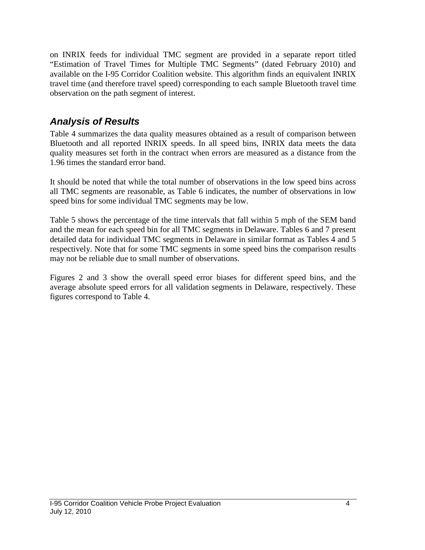on INRIX feeds for individual TMC segment are provided in a separate report titled "Estimation of Travel Times for Multiple TMC Segments" (dated February 2010) and available on the I-95 Corridor Coalition website. This algorithm finds an equivalent INRIX travel time (and therefore travel speed) corresponding to each sample Bluetooth travel time observation on the path segment of interest.

### *Analysis of Results*

Table 4 summarizes the data quality measures obtained as a result of comparison between Bluetooth and all reported INRIX speeds. In all speed bins, INRIX data meets the data quality measures set forth in the contract when errors are measured as a distance from the 1.96 times the standard error band.

It should be noted that while the total number of observations in the low speed bins across all TMC segments are reasonable, as Table 6 indicates, the number of observations in low speed bins for some individual TMC segments may be low.

Table 5 shows the percentage of the time intervals that fall within 5 mph of the SEM band and the mean for each speed bin for all TMC segments in Delaware. Tables 6 and 7 present detailed data for individual TMC segments in Delaware in similar format as Tables 4 and 5 respectively. Note that for some TMC segments in some speed bins the comparison results may not be reliable due to small number of observations.

Figures 2 and 3 show the overall speed error biases for different speed bins, and the average absolute speed errors for all validation segments in Delaware, respectively. These figures correspond to Table 4.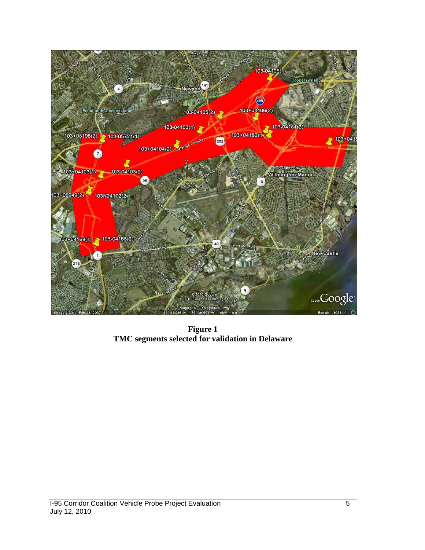

**Figure 1 TMC segments selected for validation in Delaware**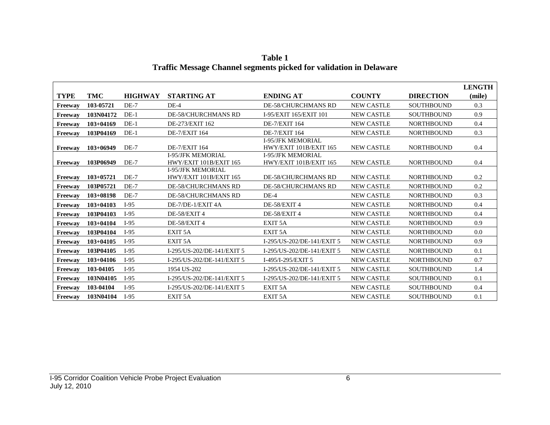|                |               |                |                                                    |                                                    |                   |                   | <b>LENGTH</b> |
|----------------|---------------|----------------|----------------------------------------------------|----------------------------------------------------|-------------------|-------------------|---------------|
| <b>TYPE</b>    | <b>TMC</b>    | <b>HIGHWAY</b> | <b>STARTING AT</b>                                 | <b>ENDING AT</b>                                   | <b>COUNTY</b>     | <b>DIRECTION</b>  | (mile)        |
| <b>Freeway</b> | 103-05721     | $DE-7$         | $DE-4$                                             | <b>DE-58/CHURCHMANS RD</b>                         | <b>NEW CASTLE</b> | <b>SOUTHBOUND</b> | 0.3           |
| Freeway        | 103N04172     | $DE-1$         | <b>DE-58/CHURCHMANS RD</b>                         | I-95/EXIT 165/EXIT 101                             | <b>NEW CASTLE</b> | <b>SOUTHBOUND</b> | 0.9           |
| <b>Freeway</b> | $103 + 04169$ | $DE-1$         | DE-273/EXIT 162                                    | <b>DE-7/EXIT 164</b>                               | <b>NEW CASTLE</b> | <b>NORTHBOUND</b> | 0.4           |
| <b>Freeway</b> | 103P04169     | $DE-1$         | <b>DE-7/EXIT 164</b>                               | <b>DE-7/EXIT 164</b>                               | <b>NEW CASTLE</b> | <b>NORTHBOUND</b> | 0.3           |
| Freeway        | $103+06949$   | $DE-7$         | <b>DE-7/EXIT 164</b>                               | <b>I-95/JFK MEMORIAL</b><br>HWY/EXIT 101B/EXIT 165 | <b>NEW CASTLE</b> | <b>NORTHBOUND</b> | 0.4           |
| Freeway        | 103P06949     | $DE-7$         | <b>I-95/JFK MEMORIAL</b><br>HWY/EXIT 101B/EXIT 165 | <b>I-95/JFK MEMORIAL</b><br>HWY/EXIT 101B/EXIT 165 | <b>NEW CASTLE</b> | <b>NORTHBOUND</b> | 0.4           |
| Freeway        | $103 + 05721$ | $DE-7$         | <b>I-95/JFK MEMORIAL</b><br>HWY/EXIT 101B/EXIT 165 | <b>DE-58/CHURCHMANS RD</b>                         | <b>NEW CASTLE</b> | <b>NORTHBOUND</b> | 0.2           |
| Freeway        | 103P05721     | $DE-7$         | <b>DE-58/CHURCHMANS RD</b>                         | <b>DE-58/CHURCHMANS RD</b>                         | <b>NEW CASTLE</b> | <b>NORTHBOUND</b> | 0.2           |
| Freeway        | $103 + 08198$ | $DE-7$         | <b>DE-58/CHURCHMANS RD</b>                         | $DE-4$                                             | <b>NEW CASTLE</b> | <b>NORTHBOUND</b> | 0.3           |
| Freeway        | $103 + 04103$ | $I-95$         | DE-7/DE-1/EXIT 4A                                  | DE-58/EXIT4                                        | <b>NEW CASTLE</b> | <b>NORTHBOUND</b> | 0.4           |
| <b>Freeway</b> | 103P04103     | $I-95$         | DE-58/EXIT 4                                       | DE-58/EXIT 4                                       | <b>NEW CASTLE</b> | <b>NORTHBOUND</b> | 0.4           |
| <b>Freeway</b> | $103 + 04104$ | $I-95$         | DE-58/EXIT 4                                       | EXIT <sub>5A</sub>                                 | <b>NEW CASTLE</b> | <b>NORTHBOUND</b> | 0.9           |
| <b>Freeway</b> | 103P04104     | $I-95$         | EXIT <sub>5</sub> A                                | EXIT <sub>5</sub> A                                | <b>NEW CASTLE</b> | <b>NORTHBOUND</b> | 0.0           |
| Freeway        | $103+04105$   | $I-95$         | EXIT <sub>5</sub> A                                | I-295/US-202/DE-141/EXIT 5                         | <b>NEW CASTLE</b> | <b>NORTHBOUND</b> | 0.9           |
| Freeway        | 103P04105     | $I-95$         | I-295/US-202/DE-141/EXIT 5                         | I-295/US-202/DE-141/EXIT 5                         | <b>NEW CASTLE</b> | <b>NORTHBOUND</b> | 0.1           |
| <b>Freeway</b> | $103 + 04106$ | $I-95$         | I-295/US-202/DE-141/EXIT 5                         | I-495/I-295/EXIT 5                                 | <b>NEW CASTLE</b> | <b>NORTHBOUND</b> | 0.7           |
| Freeway        | 103-04105     | $I-95$         | 1954 US-202                                        | I-295/US-202/DE-141/EXIT 5                         | <b>NEW CASTLE</b> | <b>SOUTHBOUND</b> | 1.4           |
| Freeway        | 103N04105     | $I-95$         | I-295/US-202/DE-141/EXIT 5                         | I-295/US-202/DE-141/EXIT 5                         | <b>NEW CASTLE</b> | <b>SOUTHBOUND</b> | 0.1           |
| Freeway        | 103-04104     | $I-95$         | I-295/US-202/DE-141/EXIT 5                         | EXIT <sub>5</sub> A                                | <b>NEW CASTLE</b> | <b>SOUTHBOUND</b> | 0.4           |
| Freeway        | 103N04104     | $I-95$         | EXIT <sub>5</sub> A                                | EXIT <sub>5</sub> A                                | <b>NEW CASTLE</b> | <b>SOUTHBOUND</b> | 0.1           |

**Table 1 Traffic Message Channel segments picked for validation in Delaware**

- T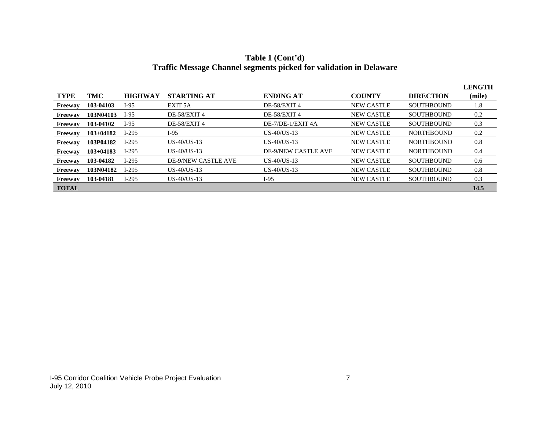|                |               |                |                            |                            |                   |                   | <b>LENGTH</b> |
|----------------|---------------|----------------|----------------------------|----------------------------|-------------------|-------------------|---------------|
| <b>TYPE</b>    | TMC           | <b>HIGHWAY</b> | <b>STARTING AT</b>         | <b>ENDING AT</b>           | <b>COUNTY</b>     | <b>DIRECTION</b>  | (mile)        |
| Freeway        | 103-04103     | $I-95$         | EXIT 5A                    | DE-58/EXIT 4               | <b>NEW CASTLE</b> | <b>SOUTHBOUND</b> | 1.8           |
| Freeway        | 103N04103     | $I-95$         | DE-58/EXIT 4               | DE-58/EXIT 4               | <b>NEW CASTLE</b> | <b>SOUTHBOUND</b> | 0.2           |
| Freeway        | 103-04102     | $I-95$         | DE-58/EXIT 4               | DE-7/DE-1/EXIT 4A          | <b>NEW CASTLE</b> | <b>SOUTHBOUND</b> | 0.3           |
| Freeway        | $103 + 04182$ | $I-295$        | I-95                       | $US-40/US-13$              | <b>NEW CASTLE</b> | <b>NORTHBOUND</b> | 0.2           |
| Freeway        | 103P04182     | $I-295$        | $US-40/US-13$              | $US-40/US-13$              | <b>NEW CASTLE</b> | <b>NORTHBOUND</b> | 0.8           |
| Freeway        | $103 + 04183$ | $I-295$        | $US-40/US-13$              | <b>DE-9/NEW CASTLE AVE</b> | <b>NEW CASTLE</b> | <b>NORTHBOUND</b> | 0.4           |
| <b>Freeway</b> | 103-04182     | $I-295$        | <b>DE-9/NEW CASTLE AVE</b> | $US-40/US-13$              | <b>NEW CASTLE</b> | <b>SOUTHBOUND</b> | 0.6           |
| Freeway        | 103N04182     | $I-295$        | $US-40/US-13$              | $US-40/US-13$              | <b>NEW CASTLE</b> | <b>SOUTHBOUND</b> | 0.8           |
| Freeway        | 103-04181     | $I-295$        | $US-40/US-13$              | $I-95$                     | <b>NEW CASTLE</b> | <b>SOUTHBOUND</b> | 0.3           |
| <b>TOTAL</b>   |               |                |                            |                            |                   |                   | 14.5          |

**Table 1 (Cont'd) Traffic Message Channel segments picked for validation in Delaware**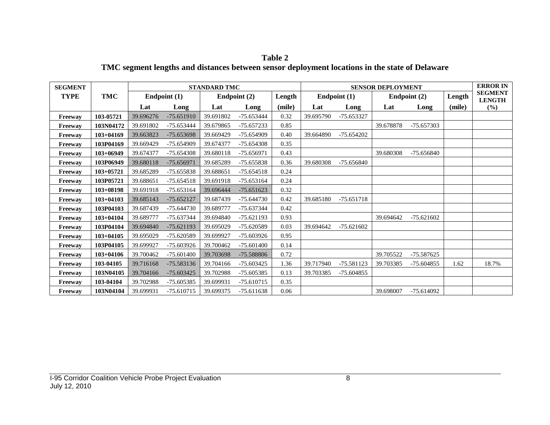| <b>SEGMENT</b> |               |           |              | <b>STANDARD TMC</b> |                |        |           |              | <b>SENSOR DEPLOYMENT</b> |                |        | <b>ERROR IN</b>                 |
|----------------|---------------|-----------|--------------|---------------------|----------------|--------|-----------|--------------|--------------------------|----------------|--------|---------------------------------|
| <b>TYPE</b>    | <b>TMC</b>    |           | Endpoint (1) |                     | Endpoint $(2)$ | Length |           | Endpoint (1) |                          | Endpoint $(2)$ | Length | <b>SEGMENT</b><br><b>LENGTH</b> |
|                |               | Lat       | Long         | Lat                 | Long           | (mile) | Lat       | Long         | Lat                      | Long           | (mile) | (%)                             |
| Freeway        | 103-05721     | 39.696276 | $-75.651910$ | 39.691802           | -75.653444     | 0.32   | 39.695790 | -75.653327   |                          |                |        |                                 |
| <b>Freeway</b> | 103N04172     | 39.691802 | $-75.653444$ | 39.679865           | $-75.657233$   | 0.85   |           |              | 39.678878                | -75.657303     |        |                                 |
| Freeway        | $103 + 04169$ | 39.663823 | -75.653698   | 39.669429           | $-75.654909$   | 0.40   | 39.664890 | $-75.654202$ |                          |                |        |                                 |
| Freeway        | 103P04169     | 39.669429 | -75.654909   | 39.674377           | $-75.654308$   | 0.35   |           |              |                          |                |        |                                 |
| <b>Freeway</b> | $103+06949$   | 39.674377 | $-75.654308$ | 39.680118           | $-75.656971$   | 0.43   |           |              | 39.680308                | -75.656840     |        |                                 |
| Freeway        | 103P06949     | 39.680118 | $-75.656971$ | 39.685289           | -75.655838     | 0.36   | 39.680308 | $-75.656840$ |                          |                |        |                                 |
| Freeway        | $103 + 05721$ | 39.685289 | $-75.655838$ | 39.688651           | $-75.654518$   | 0.24   |           |              |                          |                |        |                                 |
| Freeway        | 103P05721     | 39.688651 | $-75.654518$ | 39.691918           | $-75.653164$   | 0.24   |           |              |                          |                |        |                                 |
| <b>Freeway</b> | $103 + 08198$ | 39.691918 | $-75.653164$ | 39.696444           | $-75.651623$   | 0.32   |           |              |                          |                |        |                                 |
| Freeway        | $103 + 04103$ | 39.685143 | $-75.652127$ | 39.687439           | $-75.644730$   | 0.42   | 39.685180 | $-75.651718$ |                          |                |        |                                 |
| Freeway        | 103P04103     | 39.687439 | $-75.644730$ | 39.689777           | -75.637344     | 0.42   |           |              |                          |                |        |                                 |
| Freeway        | $103 + 04104$ | 39.689777 | -75.637344   | 39.694840           | $-75.621193$   | 0.93   |           |              | 39.694642                | $-75.621602$   |        |                                 |
| <b>Freeway</b> | 103P04104     | 39.694840 | $-75.621193$ | 39.695029           | -75.620589     | 0.03   | 39.694642 | $-75.621602$ |                          |                |        |                                 |
| Freeway        | $103 + 04105$ | 39.695029 | -75.620589   | 39.699927           | $-75.603926$   | 0.95   |           |              |                          |                |        |                                 |
| <b>Freeway</b> | 103P04105     | 39.699927 | $-75.603926$ | 39.700462           | $-75.601400$   | 0.14   |           |              |                          |                |        |                                 |
| Freeway        | $103+04106$   | 39.700462 | $-75.601400$ | 39.703698           | -75.588806     | 0.72   |           |              | 39.705522                | $-75.587625$   |        |                                 |
| Freeway        | 103-04105     | 39.716168 | -75.583136   | 39.704166           | $-75.603425$   | 1.36   | 39.717940 | $-75.581123$ | 39.703385                | $-75.604855$   | 1.62   | 18.7%                           |
| <b>Freeway</b> | 103N04105     | 39.704166 | $-75.603425$ | 39.702988           | -75.605385     | 0.13   | 39.703385 | $-75.604855$ |                          |                |        |                                 |
| Freeway        | 103-04104     | 39.702988 | $-75.605385$ | 39.699931           | $-75.610715$   | 0.35   |           |              |                          |                |        |                                 |
| Freeway        | 103N04104     | 39.699931 | $-75.610715$ | 39.699375           | $-75.611638$   | 0.06   |           |              | 39.698007                | $-75.614092$   |        |                                 |

**Table 2 TMC segment lengths and distances between sensor deployment locations in the state of Delaware**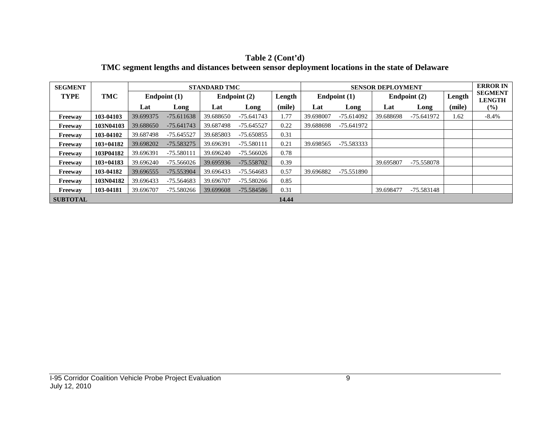| <b>SEGMENT</b>  |               |           |              | <b>STANDARD TMC</b> |              |        | <b>SENSOR DEPLOYMENT</b> |              |           |              |        | <b>ERROR IN</b>                 |
|-----------------|---------------|-----------|--------------|---------------------|--------------|--------|--------------------------|--------------|-----------|--------------|--------|---------------------------------|
| <b>TYPE</b>     | TMC           |           | Endpoint (1) |                     | Endpoint (2) | Length |                          | Endpoint (1) |           | Endpoint (2) | Length | <b>SEGMENT</b><br><b>LENGTH</b> |
|                 |               | Lat       | Long         | Lat                 | Long         | (mile) | Lat                      | Long         | Lat       | Long         | (mile) | $(\%)$                          |
| Freeway         | 103-04103     | 39.699375 | $-75.611638$ | 39.688650           | $-75.641743$ | 1.77   | 39.698007                | $-75.614092$ | 39.688698 | -75.641972   | 1.62   | $-8.4%$                         |
| Freeway         | 103N04103     | 39.688650 | $-75.641743$ | 39.687498           | $-75.645527$ | 0.22   | 39.688698                | -75.641972   |           |              |        |                                 |
| <b>Freeway</b>  | 103-04102     | 39.687498 | $-75.645527$ | 39.685803           | -75.650855   | 0.31   |                          |              |           |              |        |                                 |
| Freeway         | $103 + 04182$ | 39.698202 | $-75.583275$ | 39.696391           | -75.580111   | 0.21   | 39.698565                | -75.583333   |           |              |        |                                 |
| Freeway         | 103P04182     | 39.696391 | $-75.580111$ | 39.696240           | $-75.566026$ | 0.78   |                          |              |           |              |        |                                 |
| Freeway         | $103 + 04183$ | 39.696240 | $-75.566026$ | 39.695936           | $-75.558702$ | 0.39   |                          |              | 39.695807 | -75.558078   |        |                                 |
| <b>Freeway</b>  | 103-04182     | 39.696555 | -75.553904   | 39.696433           | $-75.564683$ | 0.57   | 39.696882                | -75.551890   |           |              |        |                                 |
| Freeway         | 103N04182     | 39.696433 | $-75.564683$ | 39.696707           | $-75.580266$ | 0.85   |                          |              |           |              |        |                                 |
| Freeway         | 103-04181     | 39.696707 | -75.580266   | 39.699608           | -75.584586   | 0.31   |                          |              | 39.698477 | -75.583148   |        |                                 |
| <b>SUBTOTAL</b> |               |           |              |                     |              | 14.44  |                          |              |           |              |        |                                 |

**Table 2 (Cont'd) TMC segment lengths and distances between sensor deployment locations in the state of Delaware**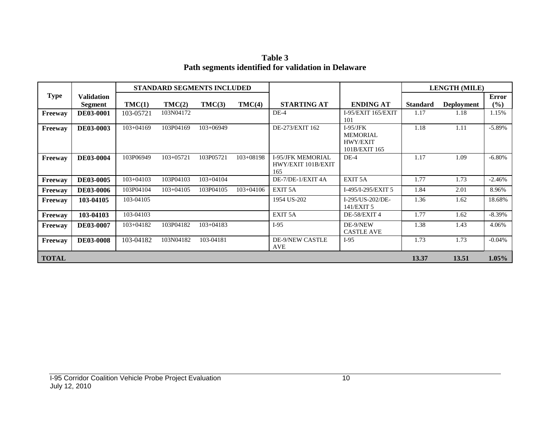**Table 3 Path segments identified for validation in Delaware**

|              |                              |               | STANDARD SEGMENTS INCLUDED |               |               |                                                       |                                                            |                 | <b>LENGTH (MILE)</b> |                        |
|--------------|------------------------------|---------------|----------------------------|---------------|---------------|-------------------------------------------------------|------------------------------------------------------------|-----------------|----------------------|------------------------|
| <b>Type</b>  | <b>Validation</b><br>Segment | TMC(1)        | TMC(2)                     | TMC(3)        | TMC(4)        | <b>STARTING AT</b>                                    | <b>ENDING AT</b>                                           | <b>Standard</b> | <b>Deployment</b>    | <b>Error</b><br>$(\%)$ |
| Freeway      | DE03-0001                    | 103-05721     | 103N04172                  |               |               | $DE-4$                                                | I-95/EXIT 165/EXIT<br>101                                  | 1.17            | 1.18                 | 1.15%                  |
| Freeway      | <b>DE03-0003</b>             | $103 + 04169$ | 103P04169                  | $103+06949$   |               | DE-273/EXIT 162                                       | $I-95/JFK$<br><b>MEMORIAL</b><br>HWY/EXIT<br>101B/EXIT 165 | 1.18            | 1.11                 | $-5.89\%$              |
| Freeway      | DE03-0004                    | 103P06949     | $103 + 05721$              | 103P05721     | $103 + 08198$ | <b>I-95/JFK MEMORIAL</b><br>HWY/EXIT 101B/EXIT<br>165 | $DE-4$                                                     | 1.17            | 1.09                 | $-6.80%$               |
| Freeway      | <b>DE03-0005</b>             | $103 + 04103$ | 103P04103                  | $103 + 04104$ |               | DE-7/DE-1/EXIT 4A                                     | EXIT <sub>5A</sub>                                         | 1.77            | 1.73                 | $-2.46%$               |
| Freeway      | <b>DE03-0006</b>             | 103P04104     | $103+04105$                | 103P04105     | $103+04106$   | EXIT <sub>5A</sub>                                    | I-495/I-295/EXIT 5                                         | 1.84            | 2.01                 | 8.96%                  |
| Freeway      | 103-04105                    | 103-04105     |                            |               |               | 1954 US-202                                           | I-295/US-202/DE-<br>141/EXIT 5                             | 1.36            | 1.62                 | 18.68%                 |
| Freeway      | 103-04103                    | 103-04103     |                            |               |               | EXIT <sub>5A</sub>                                    | DE-58/EXIT 4                                               | 1.77            | 1.62                 | $-8.39\%$              |
| Freeway      | <b>DE03-0007</b>             | $103 + 04182$ | 103P04182                  | $103 + 04183$ |               | $I-95$                                                | DE-9/NEW<br><b>CASTLE AVE</b>                              | 1.38            | 1.43                 | 4.06%                  |
| Freeway      | <b>DE03-0008</b>             | 103-04182     | 103N04182                  | 103-04181     |               | <b>DE-9/NEW CASTLE</b><br>AVE                         | $I-95$                                                     | 1.73            | 1.73                 | $-0.04%$               |
| <b>TOTAL</b> |                              |               |                            |               |               |                                                       |                                                            | 13.37           | 13.51                | $1.05\%$               |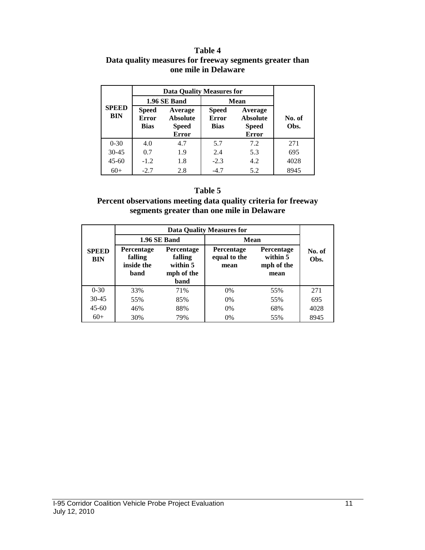#### **Table 4 Data quality measures for freeway segments greater than one mile in Delaware**

|                     | <b>Data Quality Measures for</b>            |                                                            |             |                                                            |                |  |
|---------------------|---------------------------------------------|------------------------------------------------------------|-------------|------------------------------------------------------------|----------------|--|
|                     |                                             | 1.96 SE Band                                               | <b>Mean</b> |                                                            |                |  |
| <b>SPEED</b><br>BIN | <b>Speed</b><br><b>Error</b><br><b>Bias</b> | Average<br><b>Absolute</b><br><b>Speed</b><br><b>Error</b> |             | Average<br><b>Absolute</b><br><b>Speed</b><br><b>Error</b> | No. of<br>Obs. |  |
| $0 - 30$            | 4.0                                         | 4.7                                                        | 5.7         | 7.2                                                        | 271            |  |
| $30 - 45$           | 0.7                                         | 1.9                                                        | 2.4         | 5.3                                                        | 695            |  |
| $45 - 60$           | $-1.2$                                      | 1.8                                                        | $-2.3$      | 4.2                                                        | 4028           |  |
| $60+$               | $-2.7$                                      | 2.8                                                        | $-4.7$      | 5.2                                                        | 8945           |  |

### **Table 5**

### **Percent observations meeting data quality criteria for freeway segments greater than one mile in Delaware**

|                            |                                                    | 1.96 SE Band                                            | Mean                                      |                                                     |                |
|----------------------------|----------------------------------------------------|---------------------------------------------------------|-------------------------------------------|-----------------------------------------------------|----------------|
| <b>SPEED</b><br><b>BIN</b> | <b>Percentage</b><br>falling<br>inside the<br>band | Percentage<br>falling<br>within 5<br>mph of the<br>band | <b>Percentage</b><br>equal to the<br>mean | <b>Percentage</b><br>within 5<br>mph of the<br>mean | No. of<br>Obs. |
| $0 - 30$                   | 33%                                                | 71%                                                     | $0\%$                                     | 55%                                                 | 271            |
| $30 - 45$                  | 55%                                                | 85%                                                     | $0\%$                                     | 55%                                                 | 695            |
| $45 - 60$                  | 46%                                                | 88%                                                     | $0\%$                                     | 68%                                                 | 4028           |
| $60+$                      | 30%                                                | 79%                                                     | $0\%$                                     | 55%                                                 | 8945           |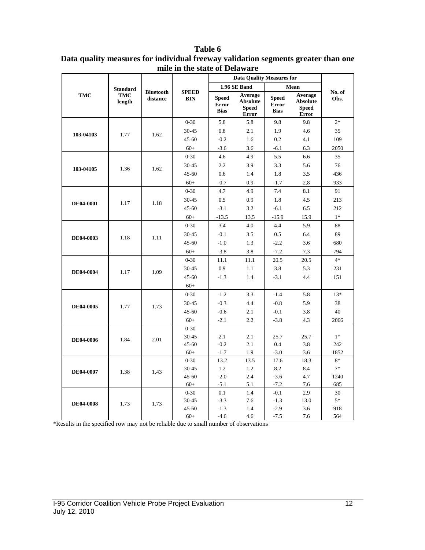#### **TMC Standard TMC length Bluetooth distance SPEED BIN Data Quality Measures for No. of Obs. 1.96 SE Band Mean Speed Error Bias Average Absolute Speed Error Speed Error Bias Average Absolute Speed Error 103-04103 1.77 1.62** 0-30 5.8 5.8 9.8 9.8 2\* 30-45 0.8 2.1 1.9 4.6 35 45-60 -0.2 1.6 0.2 4.1 109 60+ -3.6 3.6 -6.1 6.3 2050 **103-04105** 1.36 1.62 0-30 4.6 4.9 5.5 6.6 35 30-45 2.2 3.9 3.3 5.6 76 45-60 0.6 1.4 1.8 3.5 436 60+ -0.7 0.9 -1.7 2.8 933 **DE04-0001** 1.17 1.18 0-30 4.7 4.9 7.4 8.1 91 30-45 0.5 0.9 1.8 4.5 213 45-60 -3.1 3.2 -6.1 6.5 212 60+ -13.5 13.5 -15.9 15.9 1\* **DE04-0003** 1.18 1.11 0-30 3.4 4.0 4.4 5.9 88 30-45 -0.1 3.5 0.5 6.4 89 45-60 -1.0 1.3 -2.2 3.6 680 60+ -3.8 3.8 -7.2 7.3 794 **DE04-0004** 1.17 1.09 0-30 11.1 11.1 20.5 20.5 4\* 30-45 0.9 1.1 3.8 5.3 231 45-60 -1.3 1.4 -3.1 4.4 151 60+ **DE04-0005** 1.77 1.73 0-30 -1.2 3.3 -1.4 5.8 13\* 30-45 -0.3 4.4 -0.8 5.9 38 45-60 -0.6 2.1 -0.1 3.8 40 60+ -2.1 2.2 -3.8 4.3 2066 **DE04-0006** 1.84 2.01 0-30 30-45 2.1 2.1 25.7 25.7 1\* 45-60 -0.2 2.1 0.4 3.8 242 60+ -1.7 1.9 -3.0 3.6 1852 **DE04-0007** 1.38 1.43 0-30 13.2 13.5 17.6 18.3 8\* 30-45 1.2 1.2 8.2 8.4 7\* 45-60 -2.0 2.4 -3.6 4.7 1240 60+ -5.1 5.1 -7.2 7.6 685 **DE04-0008** 1.73 1.73 0-30 0.1 1.4 -0.1 2.9 30 30-45 -3.3 7.6 -1.3 13.0 5\* 45-60 -1.3 1.4 -2.9 3.6 918 60+ -4.6 4.6 -7.5 7.6 564

#### **Table 6 Data quality measures for individual freeway validation segments greater than one mile in the state of Delaware**

\*Results in the specified row may not be reliable due to small number of observations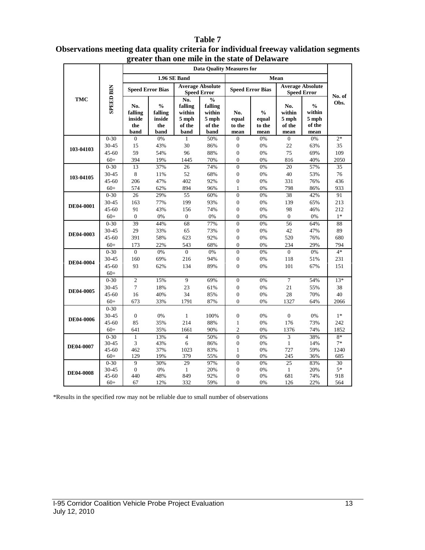#### **Data Quality Measures for 1.96 SE Band Mean Speed Error Bias Average Absolute Speed Error Speed Error Speed Error Bias Average Absolute SPEED BIN SPEED BIN Speed Error No. of TMC No.**   $\frac{6}{6}$ **Obs. falling falling**   $\frac{6}{6}$ **No. % No. falling falling % within within within within No. inside inside 5 mph 5 mph equal equal 5 mph 5 mph the the of the to the to the of the of the of the band band band band mean mean mean mean**  $0-30$  0  $0\%$  1 50% 0 0% 0 0% 2<sup>\*</sup> 30-45 15 43% 30 86% 0 0% 22 63% 35 **103-04103**  45-60 59 54% 96 88% 0 0% 75 69% 109 60+ 394 19% 1445 70% 0 0% 816 40% 2050 0-30 13 37% 26 74% 0 0% 20 57% 35 30-45 8 11% 52 68% 0 0% 40 53% 76 **103-04105**  45-60 206 47% 402 92% 0 0% 331 76% 436 60+ 574 62% 894 96% 1 0% 798 86% 933 0-30 26 29% 55 60% 0 0% 38 42% 91 30-45 163 77% 199 93% 0 0% 139 65% 213 **DE04-0001**  45-60 91 43% 156 74% 0 0% 98 46% 212  $60+$  0 0% 0 0% 0 0% 0 0% 1\* 0-30 39 44% 68 77% 0 0% 56 64% 88 30-45 29 33% 65 73% 0 0% 42 47% 89 **DE04-0003**  45-60 391 58% 623 92% 0 0% 520 76% 680 60+ 173 22% 543 68% 0 0% 234 29% 794  $0-30$  0 0% 0 0% 0 0% 0 0% 4\* 30-45 160 69% 216 94% 0 0% 118 51% 231 **DE04-0004**  45-60 93 62% 134 89% 0 0% 101 67% 151 60+ 0-30 2 15% 9 69% 0 0% 7 54% 13\* 30-45 7 18% 23 61% 0 0% 21 55% 38 **DE04-0005**  45-60 16 40% 34 85% 0 0% 28 70% 40 60+ 673 33% 1791 87% 0 0% 1327 64% 2066 0-30 30-45 0 0% 1 100% 0 0% 0 0% 1<sup>\*</sup> **DE04-0006**  45-60 85 35% 214 88% 1 0% 176 73% 242 60+ 641 35% 1661 90% 2 0% 1376 74% 1852 0-30 1 13% 4 50% 0 0% 3 38% 8\* 30-45 3 43% 6 86% 0 0% 1 14% 7\* **DE04-0007**  45-60 462 37% 1023 83% 1 0% 727 59% 1240 60+ 129 19% 379 55% 0 0% 245 36% 685 0-30 9 30% 29 97% 0 0% 25 83% 30 30-45 0 0% 1 20% 0 0% 1 20% 5\* **DE04-0008**  45-60 440 48% 849 92% 0 0% 681 74% 918 60+ 67 12% 332 59% 0 0% 126 22% 564

### **Table 7 Observations meeting data quality criteria for individual freeway validation segments greater than one mile in the state of Delaware**

\*Results in the specified row may not be reliable due to small number of observations